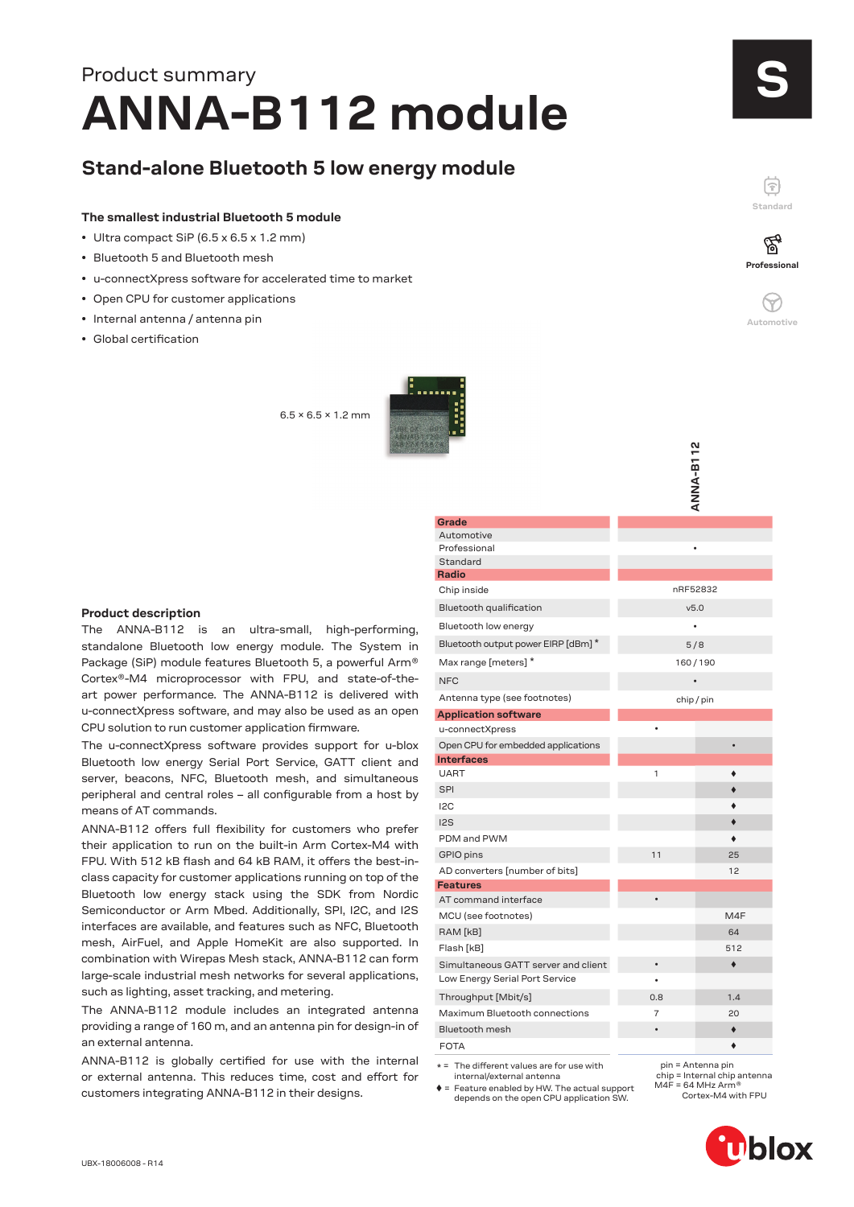# **ANNA-B112 module** Product summary

## **Stand-alone Bluetooth 5 low energy module**

#### **The smallest industrial Bluetooth 5 module**

- Ultra compact SiP (6.5 x 6.5 x 1.2 mm)
- Bluetooth 5 and Bluetooth mesh
- u-connectXpress software for accelerated time to market
- Open CPU for customer applications
- Internal antenna / antenna pin
- Global certification

 $6.5 \times 6.5 \times 1.2$  mm



#### **ANNA-B112 ANNA-B112 Grade** Automotive Professional Standard **Radio** Chip inside nRF52832 Bluetooth qualification v5.0 Bluetooth low energy Bluetooth output power EIRP [dBm] \* 5/8 Max range [meters]  $*$  160/190  $NFC$   $\bullet$ Antenna type (see footnotes) entitled and the chip / pin **Application software** u-connectXpress • Open CPU for embedded applications • **Interfaces** UART 1 SPI **SPI SALES AND SPI SERVICE SERVICE SERVICE** I2C I2S PDM and PWM GPIO pins 25 AD converters [number of bits] 12 **Features** AT command interface MCU (see footnotes) and the matrix of the M4F RAM [kB] 64 Flash [kB] 512 Simultaneous GATT server and client • Low Energy Serial Port Service Throughput [Mbit/s] 0.8 1.4 Maximum Bluetooth connections 7 20 Bluetooth mesh • FOTA

 $* =$  The different values are for use with internal/external antenna

 pin = Antenna pin chip = Internal chip antenna  $M4F = 64 MHz$  Arm<sup>®</sup> Cortex-M4 with FPU

= Feature enabled by HW. The actual support depends on the open CPU application SW.

# S

ଞ୍ଜ **Professional**

**Standard**

F

 $\heartsuit$ **Automotive**



The ANNA-B112 is an ultra-small, high-performing, standalone Bluetooth low energy module. The System in Package (SiP) module features Bluetooth 5, a powerful Arm® Cortex®-M4 microprocessor with FPU, and state-of-theart power performance. The ANNA-B112 is delivered with u-connectXpress software, and may also be used as an open CPU solution to run customer application firmware.

The u-connectXpress software provides support for u-blox Bluetooth low energy Serial Port Service, GATT client and server, beacons, NFC, Bluetooth mesh, and simultaneous peripheral and central roles – all configurable from a host by means of AT commands.

ANNA-B112 offers full flexibility for customers who prefer their application to run on the built-in Arm Cortex-M4 with FPU. With 512 kB flash and 64 kB RAM, it offers the best-inclass capacity for customer applications running on top of the Bluetooth low energy stack using the SDK from Nordic Semiconductor or Arm Mbed. Additionally, SPI, I2C, and I2S interfaces are available, and features such as NFC, Bluetooth mesh, AirFuel, and Apple HomeKit are also supported. In combination with Wirepas Mesh stack, ANNA-B112 can form large-scale industrial mesh networks for several applications, such as lighting, asset tracking, and metering.

The ANNA-B112 module includes an integrated antenna providing a range of 160 m, and an antenna pin for design-in of an external antenna.

ANNA-B112 is globally certified for use with the internal or external antenna. This reduces time, cost and effort for customers integrating ANNA-B112 in their designs.